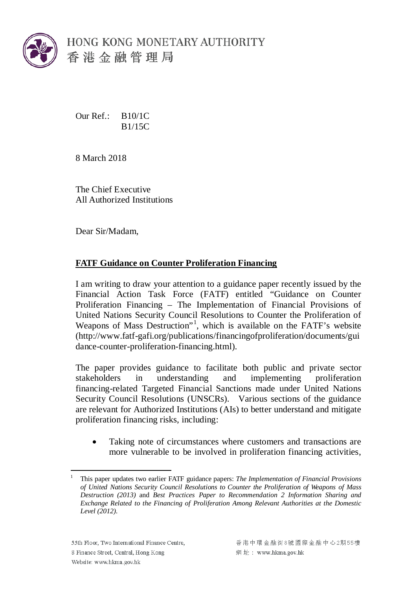

Our Ref.: B10/1C B1/15C

8 March 2018

The Chief Executive All Authorized Institutions

Dear Sir/Madam,

## **FATF Guidance on Counter Proliferation Financing**

I am writing to draw your attention to a guidance paper recently issued by the Financial Action Task Force (FATF) entitled "Guidance on Counter Proliferation Financing – The Implementation of Financial Provisions of United Nations Security Council Resolutions to Counter the Proliferation of Weapons of Mass Destruction"<sup>[1](#page-1-0)</sup>, which is available on the FATF's website (http://www.fatf-gafi.org/publications/financingofproliferation/documents/gui dance-counter-proliferation-financing.html).

The paper provides guidance to facilitate both public and private sector stakeholders in understanding and implementing proliferation financing-related Targeted Financial Sanctions made under United Nations Security Council Resolutions (UNSCRs). Various sections of the guidance are relevant for Authorized Institutions (AIs) to better understand and mitigate proliferation financing risks, including:

Taking note of circumstances where customers and transactions are more vulnerable to be involved in proliferation financing activities,

 $\overline{a}$ <sup>1</sup> This paper updates two earlier FATF guidance papers: *The Implementation of Financial Provisions of United Nations Security Council Resolutions to Counter the Proliferation of Weapons of Mass Destruction (2013)* and *Best Practices Paper to Recommendation 2 Information Sharing and Exchange Related to the Financing of Proliferation Among Relevant Authorities at the Domestic Level (2012)*.